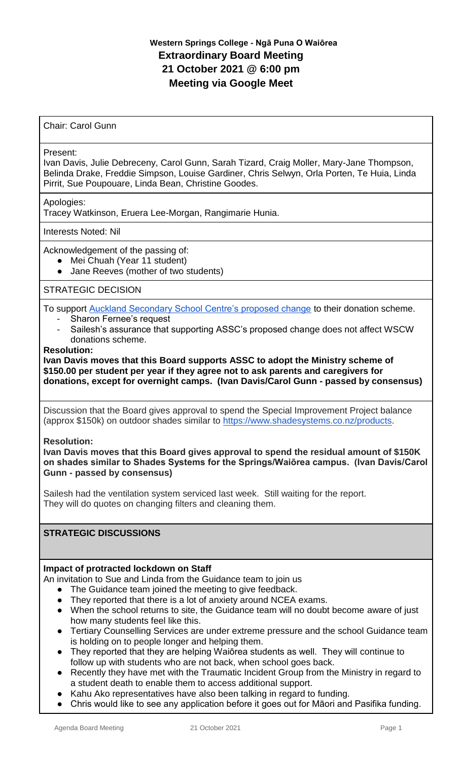# **Western Springs College - Ngā Puna O Waiōrea Extraordinary Board Meeting 21 October 2021 @ 6:00 pm Meeting via Google Meet**

Chair: Carol Gunn

#### Present:

Ivan Davis, Julie Debreceny, Carol Gunn, Sarah Tizard, Craig Moller, Mary-Jane Thompson, Belinda Drake, Freddie Simpson, Louise Gardiner, Chris Selwyn, Orla Porten, Te Huia, Linda Pirrit, Sue Poupouare, Linda Bean, Christine Goodes.

Apologies:

Tracey Watkinson, Eruera Lee-Morgan, Rangimarie Hunia.

Interests Noted: Nil

Acknowledgement of the passing of:

- Mei Chuah (Year 11 student)
- Jane Reeves (mother of two students)

## STRATEGIC DECISION

To support [Auckland Secondary School Centre's proposed change](https://drive.google.com/file/d/1fK_FR28DQ4eEfopUYb9NhQd50fVnurSM/view?usp=sharing) to their donation scheme.

- Sharon Fernee's request
- Sailesh's assurance that supporting ASSC's proposed change does not affect WSCW donations scheme.

#### **Resolution:**

**Ivan Davis moves that this Board supports ASSC to adopt the Ministry scheme of \$150.00 per student per year if they agree not to ask parents and caregivers for donations, except for overnight camps. (Ivan Davis/Carol Gunn - passed by consensus)**

Discussion that the Board gives approval to spend the Special Improvement Project balance (approx \$150k) on outdoor shades similar to [https://www.shadesystems.co.nz/products.](https://www.shadesystems.co.nz/products)

**Resolution:**

**Ivan Davis moves that this Board gives approval to spend the residual amount of \$150K on shades similar to Shades Systems for the Springs/Waiōrea campus. (Ivan Davis/Carol Gunn - passed by consensus)**

Sailesh had the ventilation system serviced last week. Still waiting for the report. They will do quotes on changing filters and cleaning them.

### **STRATEGIC DISCUSSIONS**

### **Impact of protracted lockdown on Staff**

An invitation to Sue and Linda from the Guidance team to join us

- The Guidance team joined the meeting to give feedback.
- They reported that there is a lot of anxiety around NCEA exams.
- When the school returns to site, the Guidance team will no doubt become aware of just how many students feel like this.
- Tertiary Counselling Services are under extreme pressure and the school Guidance team is holding on to people longer and helping them.
- They reported that they are helping Waiōrea students as well. They will continue to follow up with students who are not back, when school goes back.
- Recently they have met with the Traumatic Incident Group from the Ministry in regard to a student death to enable them to access additional support.
- Kahu Ako representatives have also been talking in regard to funding.
- Chris would like to see any application before it goes out for Māori and Pasifika funding.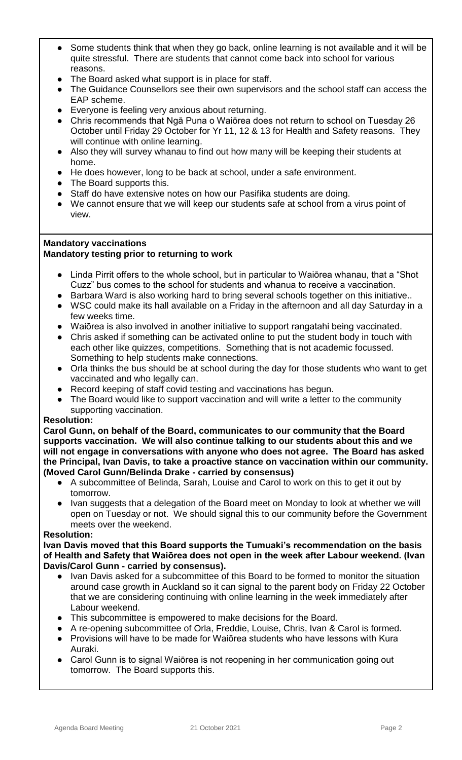- Some students think that when they go back, online learning is not available and it will be quite stressful. There are students that cannot come back into school for various reasons.
- The Board asked what support is in place for staff.
- The Guidance Counsellors see their own supervisors and the school staff can access the EAP scheme.
- Everyone is feeling very anxious about returning.
- Chris recommends that Ngā Puna o Waiōrea does not return to school on Tuesday 26 October until Friday 29 October for Yr 11, 12 & 13 for Health and Safety reasons. They will continue with online learning.
- Also they will survey whanau to find out how many will be keeping their students at home.
- He does however, long to be back at school, under a safe environment.
- The Board supports this.
- Staff do have extensive notes on how our Pasifika students are doing.
- We cannot ensure that we will keep our students safe at school from a virus point of view.

#### **Mandatory vaccinations Mandatory testing prior to returning to work**

- Linda Pirrit offers to the whole school, but in particular to Waiōrea whanau, that a "Shot Cuzz" bus comes to the school for students and whanua to receive a vaccination.
- Barbara Ward is also working hard to bring several schools together on this initiative..
- WSC could make its hall available on a Friday in the afternoon and all day Saturday in a few weeks time.
- Waiōrea is also involved in another initiative to support rangatahi being vaccinated.
- Chris asked if something can be activated online to put the student body in touch with each other like quizzes, competitions. Something that is not academic focussed. Something to help students make connections.
- Orla thinks the bus should be at school during the day for those students who want to get vaccinated and who legally can.
- Record keeping of staff covid testing and vaccinations has begun.
- The Board would like to support vaccination and will write a letter to the community supporting vaccination.

### **Resolution:**

**Carol Gunn, on behalf of the Board, communicates to our community that the Board supports vaccination. We will also continue talking to our students about this and we will not engage in conversations with anyone who does not agree. The Board has asked the Principal, Ivan Davis, to take a proactive stance on vaccination within our community. (Moved Carol Gunn/Belinda Drake - carried by consensus)**

- A subcommittee of Belinda, Sarah, Louise and Carol to work on this to get it out by tomorrow.
- Ivan suggests that a delegation of the Board meet on Monday to look at whether we will open on Tuesday or not. We should signal this to our community before the Government meets over the weekend.

### **Resolution:**

**Ivan Davis moved that this Board supports the Tumuaki's recommendation on the basis of Health and Safety that Waiōrea does not open in the week after Labour weekend. (Ivan Davis/Carol Gunn - carried by consensus).**

- Ivan Davis asked for a subcommittee of this Board to be formed to monitor the situation around case growth in Auckland so it can signal to the parent body on Friday 22 October that we are considering continuing with online learning in the week immediately after Labour weekend.
- This subcommittee is empowered to make decisions for the Board.
- A re-opening subcommittee of Orla, Freddie, Louise, Chris, Ivan & Carol is formed. ● Provisions will have to be made for Waiōrea students who have lessons with Kura
- Auraki. ● Carol Gunn is to signal Waiōrea is not reopening in her communication going out tomorrow. The Board supports this.